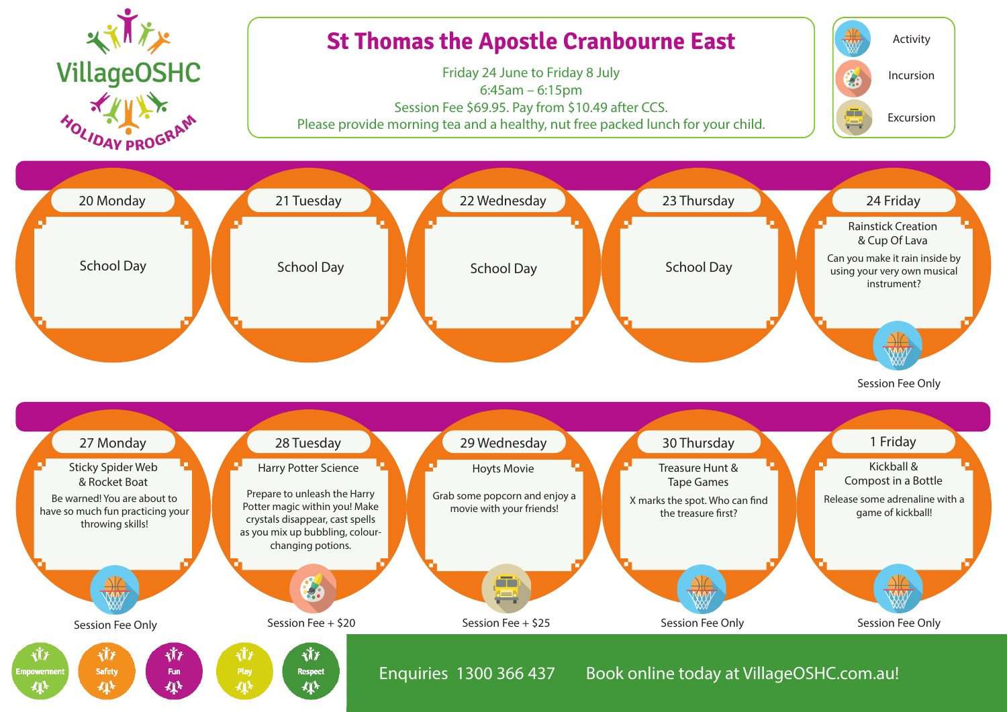